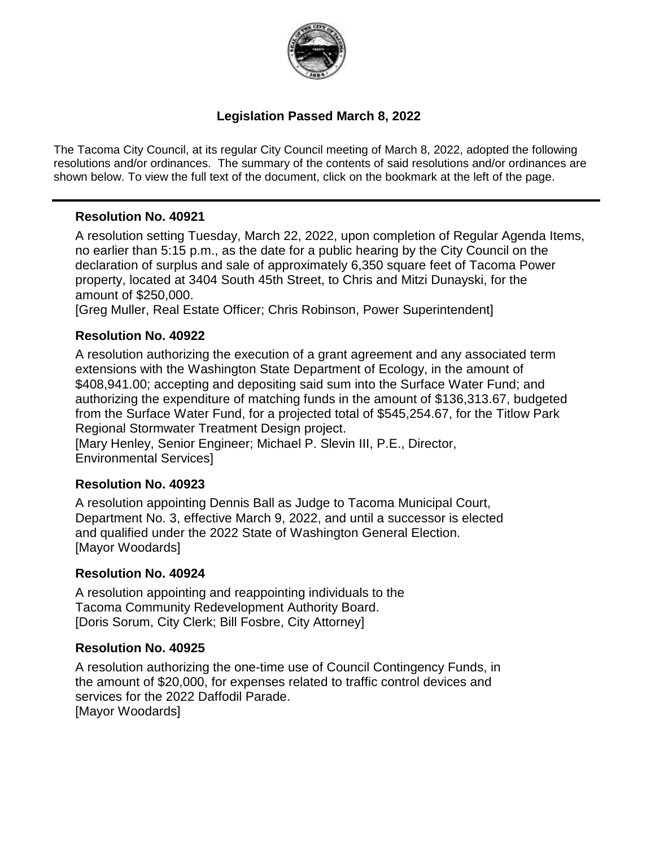

### **Legislation Passed March 8, 2022**

The Tacoma City Council, at its regular City Council meeting of March 8, 2022, adopted the following resolutions and/or ordinances. The summary of the contents of said resolutions and/or ordinances are shown below. To view the full text of the document, click on the bookmark at the left of the page.

### **Resolution No. 40921**

A resolution setting Tuesday, March 22, 2022, upon completion of Regular Agenda Items, no earlier than 5:15 p.m., as the date for a public hearing by the City Council on the declaration of surplus and sale of approximately 6,350 square feet of Tacoma Power property, located at 3404 South 45th Street, to Chris and Mitzi Dunayski, for the amount of \$250,000.

[Greg Muller, Real Estate Officer; Chris Robinson, Power Superintendent]

### **Resolution No. 40922**

A resolution authorizing the execution of a grant agreement and any associated term extensions with the Washington State Department of Ecology, in the amount of \$408,941.00; accepting and depositing said sum into the Surface Water Fund; and authorizing the expenditure of matching funds in the amount of \$136,313.67, budgeted from the Surface Water Fund, for a projected total of \$545,254.67, for the Titlow Park Regional Stormwater Treatment Design project.

[Mary Henley, Senior Engineer; Michael P. Slevin III, P.E., Director, Environmental Services]

#### **Resolution No. 40923**

A resolution appointing Dennis Ball as Judge to Tacoma Municipal Court, Department No. 3, effective March 9, 2022, and until a successor is elected and qualified under the 2022 State of Washington General Election. [Mayor Woodards]

#### **Resolution No. 40924**

A resolution appointing and reappointing individuals to the Tacoma Community Redevelopment Authority Board. [Doris Sorum, City Clerk; Bill Fosbre, City Attorney]

#### **Resolution No. 40925**

A resolution authorizing the one-time use of Council Contingency Funds, in the amount of \$20,000, for expenses related to traffic control devices and services for the 2022 Daffodil Parade. [Mayor Woodards]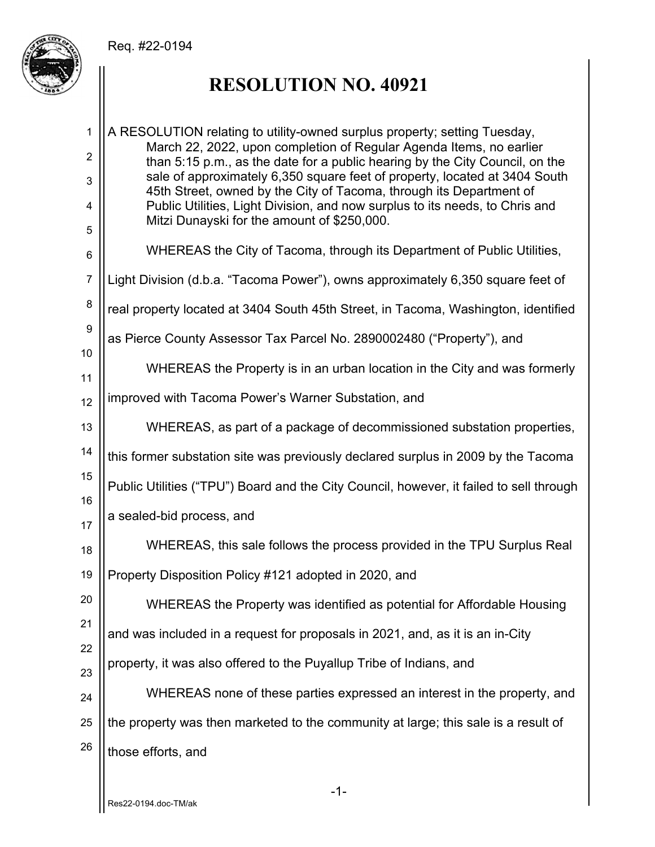

## **RESOLUTION NO. 40921**

1 2 3 4 5 6 7 8 9 10 11 12 13 14 15 16 17 18 19 20 21 22 23 24 25 26 A RESOLUTION relating to utility-owned surplus property; setting Tuesday, March 22, 2022, upon completion of Regular Agenda Items, no earlier than 5:15 p.m., as the date for a public hearing by the City Council, on the sale of approximately 6,350 square feet of property, located at 3404 South 45th Street, owned by the City of Tacoma, through its Department of Public Utilities, Light Division, and now surplus to its needs, to Chris and Mitzi Dunayski for the amount of \$250,000. WHEREAS the City of Tacoma, through its Department of Public Utilities, Light Division (d.b.a. "Tacoma Power"), owns approximately 6,350 square feet of real property located at 3404 South 45th Street, in Tacoma, Washington, identified as Pierce County Assessor Tax Parcel No. 2890002480 ("Property"), and WHEREAS the Property is in an urban location in the City and was formerly improved with Tacoma Power's Warner Substation, and WHEREAS, as part of a package of decommissioned substation properties, this former substation site was previously declared surplus in 2009 by the Tacoma Public Utilities ("TPU") Board and the City Council, however, it failed to sell through a sealed-bid process, and WHEREAS, this sale follows the process provided in the TPU Surplus Real Property Disposition Policy #121 adopted in 2020, and WHEREAS the Property was identified as potential for Affordable Housing and was included in a request for proposals in 2021, and, as it is an in-City property, it was also offered to the Puyallup Tribe of Indians, and WHEREAS none of these parties expressed an interest in the property, and the property was then marketed to the community at large; this sale is a result of those efforts, and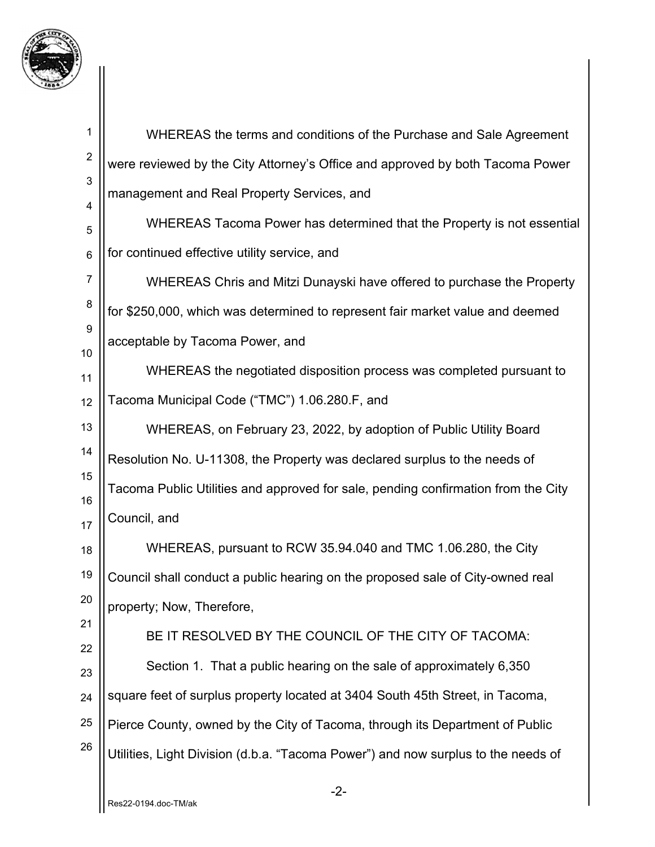

| 1              |                                                                                   |  |  |
|----------------|-----------------------------------------------------------------------------------|--|--|
| $\overline{2}$ | WHEREAS the terms and conditions of the Purchase and Sale Agreement               |  |  |
|                | were reviewed by the City Attorney's Office and approved by both Tacoma Power     |  |  |
| 3<br>4         | management and Real Property Services, and                                        |  |  |
| 5              | WHEREAS Tacoma Power has determined that the Property is not essential            |  |  |
| $\,6$          | for continued effective utility service, and                                      |  |  |
| $\overline{7}$ | WHEREAS Chris and Mitzi Dunayski have offered to purchase the Property            |  |  |
| $\bf 8$        | for \$250,000, which was determined to represent fair market value and deemed     |  |  |
| $9\,$<br>10    | acceptable by Tacoma Power, and                                                   |  |  |
| 11             | WHEREAS the negotiated disposition process was completed pursuant to              |  |  |
| 12             | Tacoma Municipal Code ("TMC") 1.06.280.F, and                                     |  |  |
| 13             | WHEREAS, on February 23, 2022, by adoption of Public Utility Board                |  |  |
| 14             | Resolution No. U-11308, the Property was declared surplus to the needs of         |  |  |
| 15<br>16       | Tacoma Public Utilities and approved for sale, pending confirmation from the City |  |  |
| 17             | Council, and                                                                      |  |  |
| 18             | WHEREAS, pursuant to RCW 35.94.040 and TMC 1.06.280, the City                     |  |  |
| 19             | Council shall conduct a public hearing on the proposed sale of City-owned real    |  |  |
| 20             | property; Now, Therefore,                                                         |  |  |
| 21             | BE IT RESOLVED BY THE COUNCIL OF THE CITY OF TACOMA:                              |  |  |
| 22<br>23       | Section 1. That a public hearing on the sale of approximately 6,350               |  |  |
| 24             | square feet of surplus property located at 3404 South 45th Street, in Tacoma,     |  |  |
| 25             | Pierce County, owned by the City of Tacoma, through its Department of Public      |  |  |
| 26             | Utilities, Light Division (d.b.a. "Tacoma Power") and now surplus to the needs of |  |  |
|                | -2-                                                                               |  |  |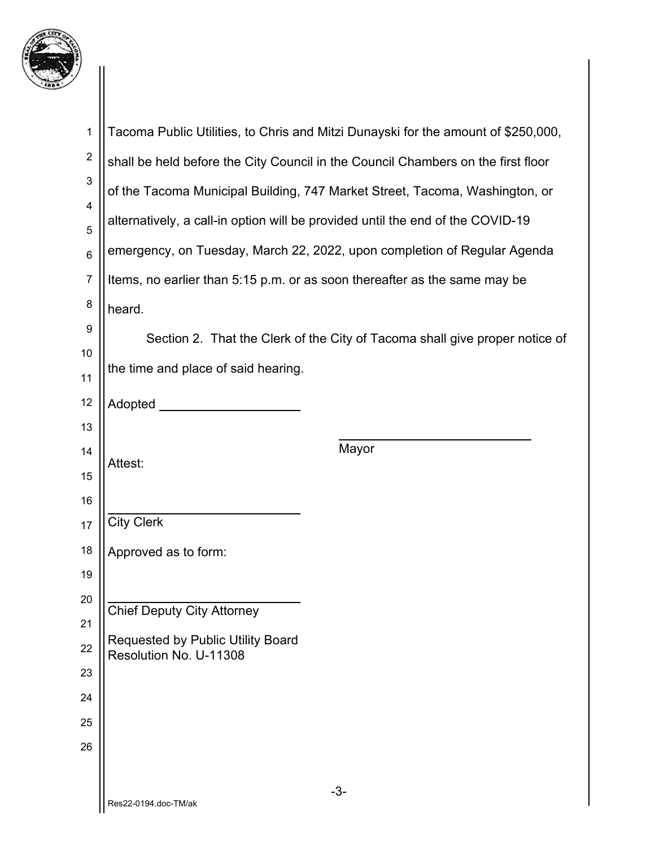

| $\mathbf 1$             | Tacoma Public Utilities, to Chris and Mitzi Dunayski for the amount of \$250,000, |  |  |
|-------------------------|-----------------------------------------------------------------------------------|--|--|
| $\overline{\mathbf{c}}$ | shall be held before the City Council in the Council Chambers on the first floor  |  |  |
| 3                       |                                                                                   |  |  |
| 4                       | of the Tacoma Municipal Building, 747 Market Street, Tacoma, Washington, or       |  |  |
| 5                       | alternatively, a call-in option will be provided until the end of the COVID-19    |  |  |
| $\,6$                   | emergency, on Tuesday, March 22, 2022, upon completion of Regular Agenda          |  |  |
| $\overline{7}$          | Items, no earlier than 5:15 p.m. or as soon thereafter as the same may be         |  |  |
| 8                       | heard.                                                                            |  |  |
| 9                       | Section 2. That the Clerk of the City of Tacoma shall give proper notice of       |  |  |
| 10                      |                                                                                   |  |  |
| 11                      | the time and place of said hearing.                                               |  |  |
| 12                      | Adopted                                                                           |  |  |
| 13                      |                                                                                   |  |  |
| 14                      | Mayor<br>Attest:                                                                  |  |  |
| 15                      |                                                                                   |  |  |
| 16                      |                                                                                   |  |  |
| 17                      | <b>City Clerk</b>                                                                 |  |  |
| 18                      | Approved as to form:                                                              |  |  |
| 19                      |                                                                                   |  |  |
| 20                      | <b>Chief Deputy City Attorney</b>                                                 |  |  |
| 21                      | <b>Requested by Public Utility Board</b>                                          |  |  |
| 22                      | Resolution No. U-11308                                                            |  |  |
| 23                      |                                                                                   |  |  |
| 24                      |                                                                                   |  |  |
| 25                      |                                                                                   |  |  |
| 26                      |                                                                                   |  |  |
|                         | $-3-$                                                                             |  |  |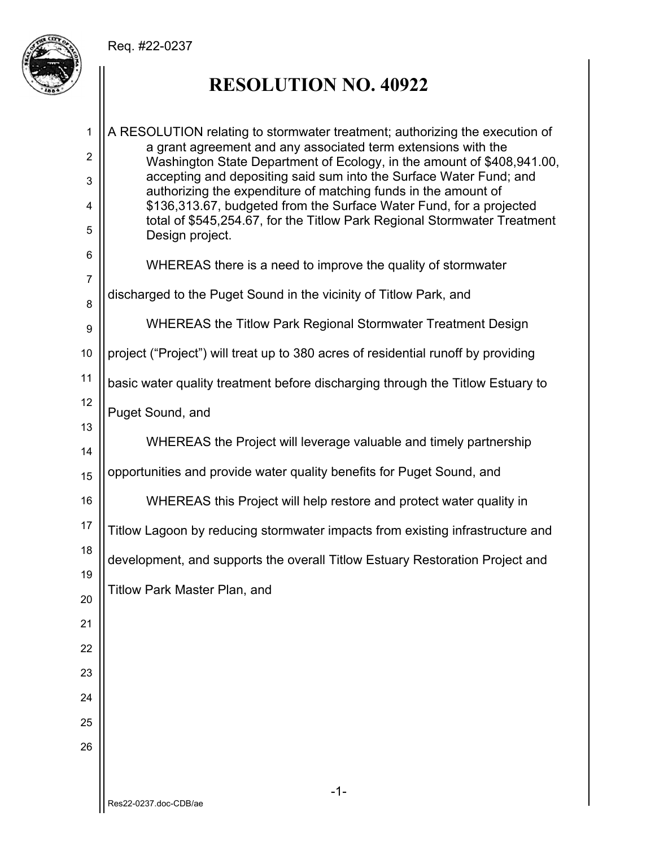

## **RESOLUTION NO. 40922**

| $\mathbf{1}$   | A RESOLUTION relating to stormwater treatment; authorizing the execution of                                                             |  |
|----------------|-----------------------------------------------------------------------------------------------------------------------------------------|--|
| $\overline{2}$ | a grant agreement and any associated term extensions with the<br>Washington State Department of Ecology, in the amount of \$408,941.00, |  |
| 3              | accepting and depositing said sum into the Surface Water Fund; and                                                                      |  |
| $\overline{4}$ | authorizing the expenditure of matching funds in the amount of<br>\$136,313.67, budgeted from the Surface Water Fund, for a projected   |  |
| 5              | total of \$545,254.67, for the Titlow Park Regional Stormwater Treatment<br>Design project.                                             |  |
| 6              | WHEREAS there is a need to improve the quality of stormwater                                                                            |  |
| $\overline{7}$ | discharged to the Puget Sound in the vicinity of Titlow Park, and                                                                       |  |
| 8              |                                                                                                                                         |  |
| 9              | WHEREAS the Titlow Park Regional Stormwater Treatment Design                                                                            |  |
| 10             | project ("Project") will treat up to 380 acres of residential runoff by providing                                                       |  |
| 11             | basic water quality treatment before discharging through the Titlow Estuary to                                                          |  |
| 12             | Puget Sound, and                                                                                                                        |  |
| 13             | WHEREAS the Project will leverage valuable and timely partnership                                                                       |  |
| 14             |                                                                                                                                         |  |
| 15             | opportunities and provide water quality benefits for Puget Sound, and                                                                   |  |
| 16             | WHEREAS this Project will help restore and protect water quality in                                                                     |  |
| 17             | Titlow Lagoon by reducing stormwater impacts from existing infrastructure and                                                           |  |
| 18             | development, and supports the overall Titlow Estuary Restoration Project and                                                            |  |
| 19<br>20       | Titlow Park Master Plan, and                                                                                                            |  |
| 21             |                                                                                                                                         |  |
| 22             |                                                                                                                                         |  |
| 23             |                                                                                                                                         |  |
| 24             |                                                                                                                                         |  |
| 25             |                                                                                                                                         |  |
| 26             |                                                                                                                                         |  |
|                |                                                                                                                                         |  |
|                | $-1-$<br>Res22-0237.doc-CDB/ae                                                                                                          |  |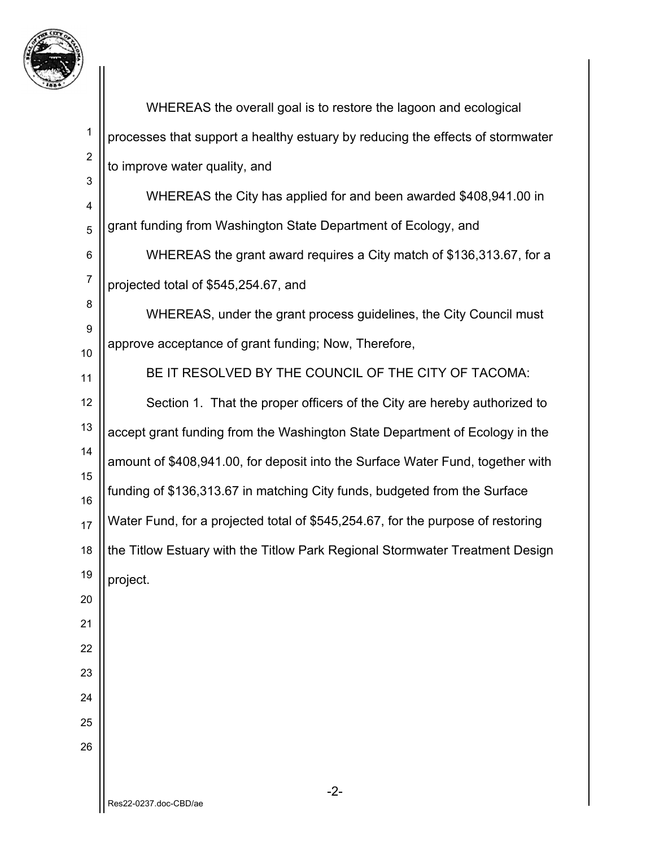

|                | WHEREAS the overall goal is to restore the lagoon and ecological                |  |
|----------------|---------------------------------------------------------------------------------|--|
| 1              | processes that support a healthy estuary by reducing the effects of stormwater  |  |
| $\overline{2}$ | to improve water quality, and                                                   |  |
| 3<br>4         | WHEREAS the City has applied for and been awarded \$408,941.00 in               |  |
| 5              | grant funding from Washington State Department of Ecology, and                  |  |
| 6              | WHEREAS the grant award requires a City match of \$136,313.67, for a            |  |
| $\overline{7}$ | projected total of \$545,254.67, and                                            |  |
| 8              | WHEREAS, under the grant process guidelines, the City Council must              |  |
| 9              | approve acceptance of grant funding; Now, Therefore,                            |  |
| 10<br>11       | BE IT RESOLVED BY THE COUNCIL OF THE CITY OF TACOMA:                            |  |
| 12             | Section 1. That the proper officers of the City are hereby authorized to        |  |
| 13             | accept grant funding from the Washington State Department of Ecology in the     |  |
| 14             | amount of \$408,941.00, for deposit into the Surface Water Fund, together with  |  |
| 15             | funding of \$136,313.67 in matching City funds, budgeted from the Surface       |  |
| 16             |                                                                                 |  |
| 17             | Water Fund, for a projected total of \$545,254.67, for the purpose of restoring |  |
| 18             | the Titlow Estuary with the Titlow Park Regional Stormwater Treatment Design    |  |
| 19             | project.                                                                        |  |
| 20<br>21       |                                                                                 |  |
| 22             |                                                                                 |  |
| 23             |                                                                                 |  |
| 24             |                                                                                 |  |
| 25             |                                                                                 |  |
| 26             |                                                                                 |  |
|                |                                                                                 |  |
|                | $-2-$                                                                           |  |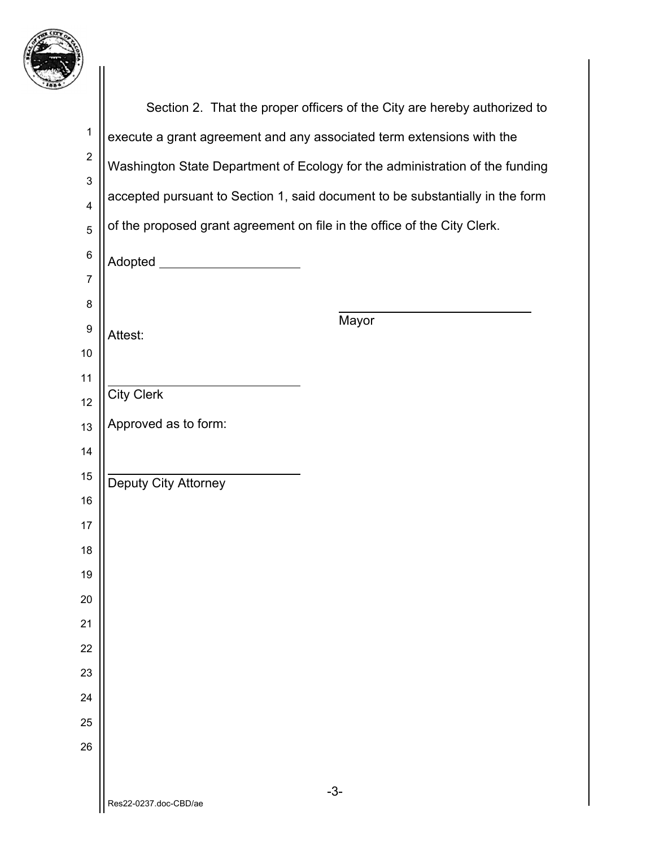

| 7                            |                                                                               |  |
|------------------------------|-------------------------------------------------------------------------------|--|
|                              | Section 2. That the proper officers of the City are hereby authorized to      |  |
| $\mathbf{1}$                 | execute a grant agreement and any associated term extensions with the         |  |
| $\boldsymbol{2}$             | Washington State Department of Ecology for the administration of the funding  |  |
| 3<br>$\overline{\mathbf{4}}$ | accepted pursuant to Section 1, said document to be substantially in the form |  |
| $\overline{5}$               | of the proposed grant agreement on file in the office of the City Clerk.      |  |
| $\,6\,$                      | Adopted __                                                                    |  |
| $\overline{7}$               |                                                                               |  |
| 8                            |                                                                               |  |
| $\boldsymbol{9}$             | Mayor<br>Attest:                                                              |  |
| 10                           |                                                                               |  |
| 11<br>12                     | <b>City Clerk</b>                                                             |  |
| 13                           | Approved as to form:                                                          |  |
| 14                           |                                                                               |  |
| 15                           | Deputy City Attorney                                                          |  |
| 16                           |                                                                               |  |
| 17                           |                                                                               |  |
| 18                           |                                                                               |  |
| 19                           |                                                                               |  |
| 20                           |                                                                               |  |
| 21<br>22                     |                                                                               |  |
| 23                           |                                                                               |  |
| 24                           |                                                                               |  |
| 25                           |                                                                               |  |
| 26                           |                                                                               |  |
|                              |                                                                               |  |
|                              | $-3-$<br>Res22-0237.doc-CBD/ae                                                |  |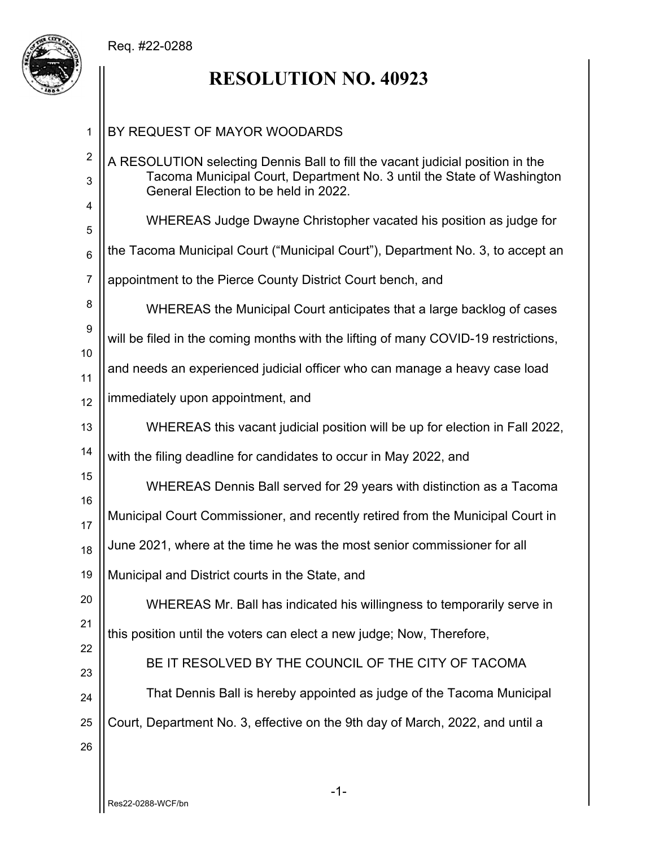

# **RESOLUTION NO. 40923**

| 1                   | BY REQUEST OF MAYOR WOODARDS                                                                                                                                                                     |
|---------------------|--------------------------------------------------------------------------------------------------------------------------------------------------------------------------------------------------|
| $\overline{2}$<br>3 | A RESOLUTION selecting Dennis Ball to fill the vacant judicial position in the<br>Tacoma Municipal Court, Department No. 3 until the State of Washington<br>General Election to be held in 2022. |
| 4<br>5              | WHEREAS Judge Dwayne Christopher vacated his position as judge for                                                                                                                               |
| 6                   | the Tacoma Municipal Court ("Municipal Court"), Department No. 3, to accept an                                                                                                                   |
| 7                   | appointment to the Pierce County District Court bench, and                                                                                                                                       |
| 8                   | WHEREAS the Municipal Court anticipates that a large backlog of cases                                                                                                                            |
| 9                   | will be filed in the coming months with the lifting of many COVID-19 restrictions,                                                                                                               |
| 10<br>11            | and needs an experienced judicial officer who can manage a heavy case load                                                                                                                       |
| 12                  | immediately upon appointment, and                                                                                                                                                                |
| 13                  | WHEREAS this vacant judicial position will be up for election in Fall 2022,                                                                                                                      |
| 14                  | with the filing deadline for candidates to occur in May 2022, and                                                                                                                                |
| 15<br>16            | WHEREAS Dennis Ball served for 29 years with distinction as a Tacoma                                                                                                                             |
| 17                  | Municipal Court Commissioner, and recently retired from the Municipal Court in                                                                                                                   |
| 18                  | June 2021, where at the time he was the most senior commissioner for all                                                                                                                         |
| 19                  | Municipal and District courts in the State, and                                                                                                                                                  |
| 20                  | WHEREAS Mr. Ball has indicated his willingness to temporarily serve in                                                                                                                           |
| 21                  | this position until the voters can elect a new judge; Now, Therefore,                                                                                                                            |
| 22<br>23            | BE IT RESOLVED BY THE COUNCIL OF THE CITY OF TACOMA                                                                                                                                              |
| 24                  | That Dennis Ball is hereby appointed as judge of the Tacoma Municipal                                                                                                                            |
| 25<br>26            | Court, Department No. 3, effective on the 9th day of March, 2022, and until a                                                                                                                    |
|                     |                                                                                                                                                                                                  |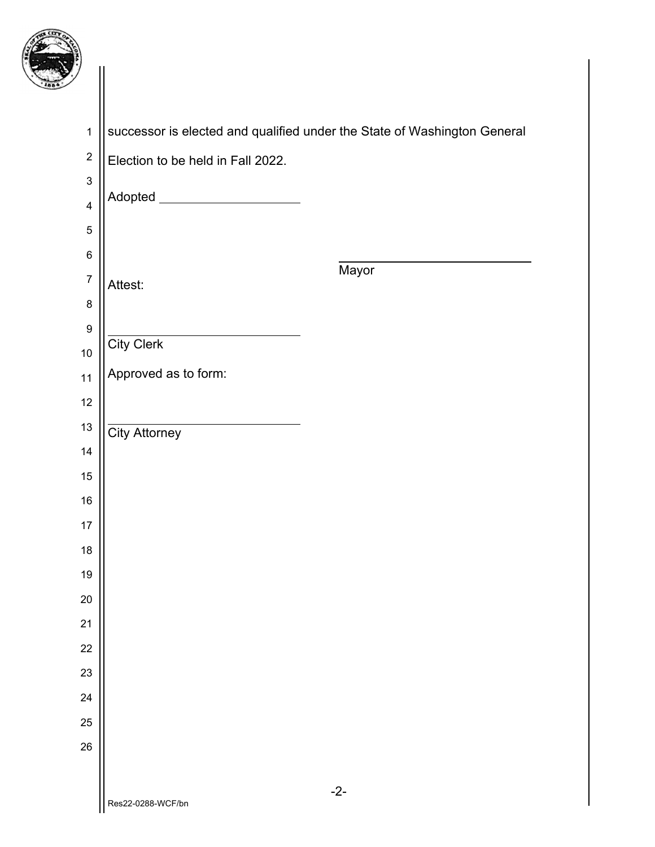

| y                           |                                                                          |       |
|-----------------------------|--------------------------------------------------------------------------|-------|
|                             |                                                                          |       |
| $\mathbf{1}$                | successor is elected and qualified under the State of Washington General |       |
| $\boldsymbol{2}$            | Election to be held in Fall 2022.                                        |       |
| $\ensuremath{\mathsf{3}}$   | Adopted _______________________                                          |       |
| $\overline{4}$              |                                                                          |       |
| $\mathbf 5$                 |                                                                          |       |
| $\,6$                       |                                                                          | Mayor |
| $\overline{7}$              | Attest:                                                                  |       |
| $\bf 8$<br>$\boldsymbol{9}$ |                                                                          |       |
| 10                          | <b>City Clerk</b>                                                        |       |
| 11                          | Approved as to form:                                                     |       |
| 12                          |                                                                          |       |
| $13$                        | <b>City Attorney</b>                                                     |       |
| 14                          |                                                                          |       |
| $15\,$                      |                                                                          |       |
| $16\,$                      |                                                                          |       |
| 17                          |                                                                          |       |
| 18                          |                                                                          |       |
| 19                          |                                                                          |       |
| 20                          |                                                                          |       |
| 21                          |                                                                          |       |
| 22                          |                                                                          |       |
| 23                          |                                                                          |       |
| 24                          |                                                                          |       |
| 25<br>26                    |                                                                          |       |
|                             |                                                                          |       |
|                             |                                                                          | $-2-$ |
|                             | Res22-0288-WCF/bn                                                        |       |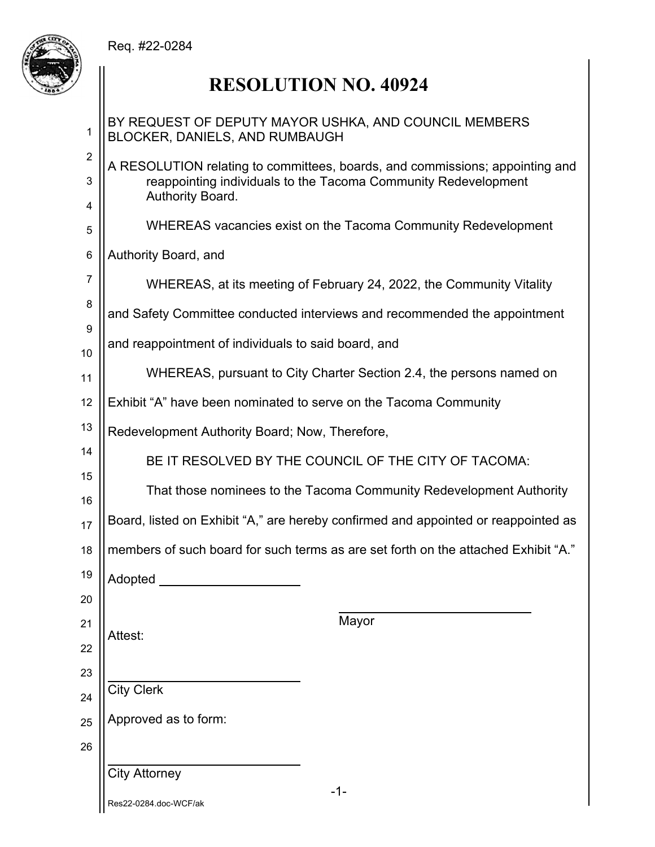

 $\mathsf{I}$ 

# **RESOLUTION NO. 40924**

| 1                   | BY REQUEST OF DEPUTY MAYOR USHKA, AND COUNCIL MEMBERS<br>BLOCKER, DANIELS, AND RUMBAUGH                                                                            |  |
|---------------------|--------------------------------------------------------------------------------------------------------------------------------------------------------------------|--|
| $\overline{2}$<br>3 | A RESOLUTION relating to committees, boards, and commissions; appointing and<br>reappointing individuals to the Tacoma Community Redevelopment<br>Authority Board. |  |
| 4<br>5              | WHEREAS vacancies exist on the Tacoma Community Redevelopment                                                                                                      |  |
| 6                   | Authority Board, and                                                                                                                                               |  |
| $\overline{7}$      | WHEREAS, at its meeting of February 24, 2022, the Community Vitality                                                                                               |  |
| 8                   | and Safety Committee conducted interviews and recommended the appointment                                                                                          |  |
| 9                   | and reappointment of individuals to said board, and                                                                                                                |  |
| 10<br>11            | WHEREAS, pursuant to City Charter Section 2.4, the persons named on                                                                                                |  |
| 12                  | Exhibit "A" have been nominated to serve on the Tacoma Community                                                                                                   |  |
| 13                  | Redevelopment Authority Board; Now, Therefore,                                                                                                                     |  |
| 14                  | BE IT RESOLVED BY THE COUNCIL OF THE CITY OF TACOMA:                                                                                                               |  |
| 15                  | That those nominees to the Tacoma Community Redevelopment Authority                                                                                                |  |
| 16                  |                                                                                                                                                                    |  |
| 17                  | Board, listed on Exhibit "A," are hereby confirmed and appointed or reappointed as                                                                                 |  |
| 18                  | members of such board for such terms as are set forth on the attached Exhibit "A."                                                                                 |  |
| 19                  | Adopted ____                                                                                                                                                       |  |
| 20                  |                                                                                                                                                                    |  |
| 21                  | Mayor<br>Attest:                                                                                                                                                   |  |
| 22                  |                                                                                                                                                                    |  |
| 23<br>24            | <b>City Clerk</b>                                                                                                                                                  |  |
| 25                  | Approved as to form:                                                                                                                                               |  |
| 26                  |                                                                                                                                                                    |  |
|                     | <b>City Attorney</b>                                                                                                                                               |  |
|                     | $-1-$<br>Res22-0284.doc-WCF/ak                                                                                                                                     |  |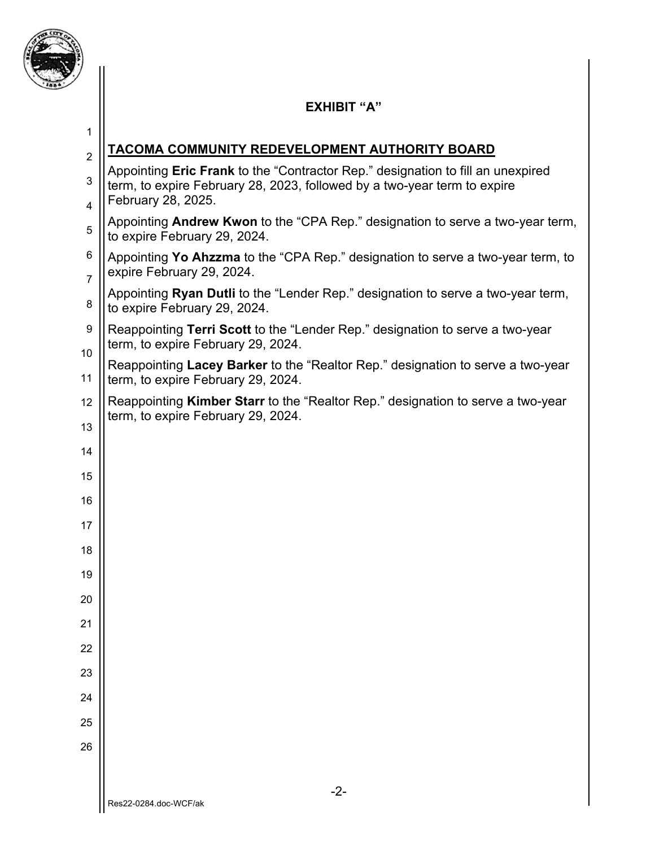

### **EXHIBIT "A"**

| 1                   |                                                                                                                                                                                   |  |
|---------------------|-----------------------------------------------------------------------------------------------------------------------------------------------------------------------------------|--|
| $\overline{2}$      | TACOMA COMMUNITY REDEVELOPMENT AUTHORITY BOARD                                                                                                                                    |  |
| 3<br>4              | Appointing Eric Frank to the "Contractor Rep." designation to fill an unexpired<br>term, to expire February 28, 2023, followed by a two-year term to expire<br>February 28, 2025. |  |
| 5                   | Appointing Andrew Kwon to the "CPA Rep." designation to serve a two-year term,<br>to expire February 29, 2024.                                                                    |  |
| 6<br>$\overline{7}$ | Appointing Yo Ahzzma to the "CPA Rep." designation to serve a two-year term, to<br>expire February 29, 2024.                                                                      |  |
| 8                   | Appointing Ryan Dutli to the "Lender Rep." designation to serve a two-year term,<br>to expire February 29, 2024.                                                                  |  |
| 9                   | Reappointing Terri Scott to the "Lender Rep." designation to serve a two-year<br>term, to expire February 29, 2024.                                                               |  |
| 10<br>11            | Reappointing Lacey Barker to the "Realtor Rep." designation to serve a two-year<br>term, to expire February 29, 2024.                                                             |  |
| 12                  | Reappointing Kimber Starr to the "Realtor Rep." designation to serve a two-year<br>term, to expire February 29, 2024.                                                             |  |
| 13                  |                                                                                                                                                                                   |  |
| 14                  |                                                                                                                                                                                   |  |
| 15                  |                                                                                                                                                                                   |  |
| 16                  |                                                                                                                                                                                   |  |
| 17                  |                                                                                                                                                                                   |  |
| 18                  |                                                                                                                                                                                   |  |
| 19                  |                                                                                                                                                                                   |  |
| 20                  |                                                                                                                                                                                   |  |
| 21                  |                                                                                                                                                                                   |  |
| 22                  |                                                                                                                                                                                   |  |
| 23                  |                                                                                                                                                                                   |  |
| 24                  |                                                                                                                                                                                   |  |
| 25                  |                                                                                                                                                                                   |  |
| 26                  |                                                                                                                                                                                   |  |
|                     |                                                                                                                                                                                   |  |
|                     | $-2-$<br>Res22-0284.doc-WCF/ak                                                                                                                                                    |  |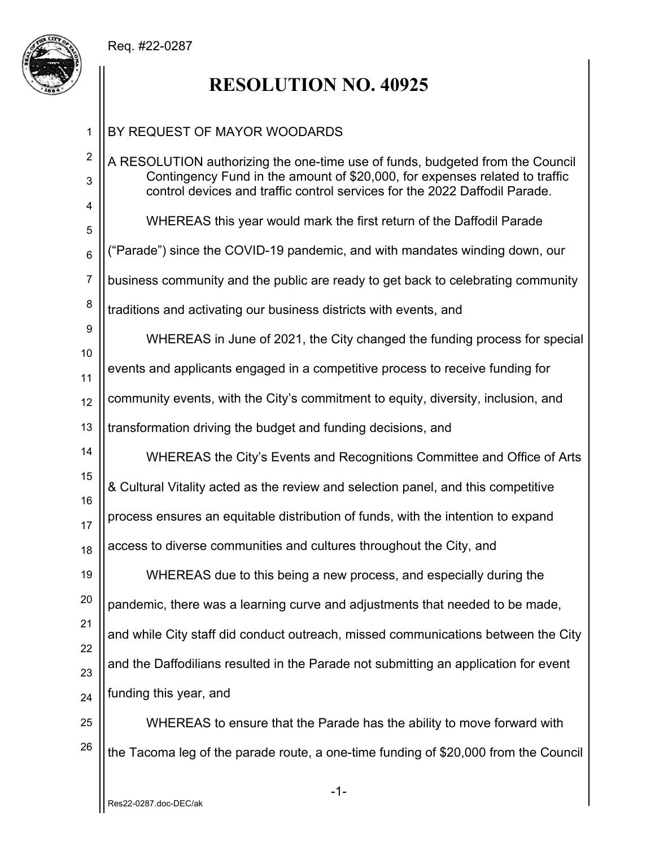

## **RESOLUTION NO. 40925**

#### -1- 1 2 3 4 5 6 7 8 9 10 11 12 13 14 15 16 17 18 19 20 21 22 23 24 25 26 BY REQUEST OF MAYOR WOODARDS A RESOLUTION authorizing the one-time use of funds, budgeted from the Council Contingency Fund in the amount of \$20,000, for expenses related to traffic control devices and traffic control services for the 2022 Daffodil Parade. WHEREAS this year would mark the first return of the Daffodil Parade ("Parade") since the COVID-19 pandemic, and with mandates winding down, our business community and the public are ready to get back to celebrating community traditions and activating our business districts with events, and WHEREAS in June of 2021, the City changed the funding process for special events and applicants engaged in a competitive process to receive funding for community events, with the City's commitment to equity, diversity, inclusion, and transformation driving the budget and funding decisions, and WHEREAS the City's Events and Recognitions Committee and Office of Arts & Cultural Vitality acted as the review and selection panel, and this competitive process ensures an equitable distribution of funds, with the intention to expand access to diverse communities and cultures throughout the City, and WHEREAS due to this being a new process, and especially during the pandemic, there was a learning curve and adjustments that needed to be made, and while City staff did conduct outreach, missed communications between the City and the Daffodilians resulted in the Parade not submitting an application for event funding this year, and WHEREAS to ensure that the Parade has the ability to move forward with the Tacoma leg of the parade route, a one-time funding of \$20,000 from the Council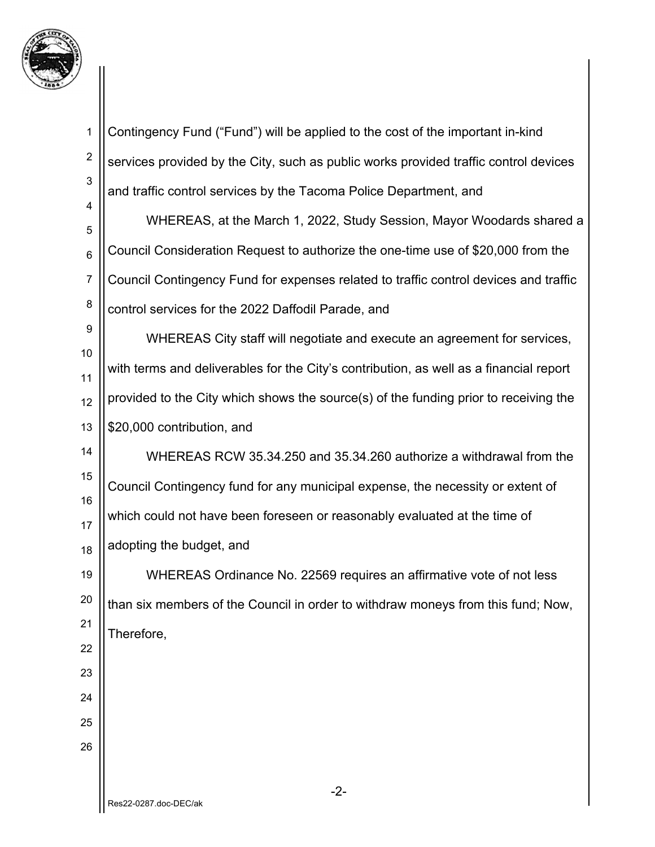

| $\mathbf 1$      | Contingency Fund ("Fund") will be applied to the cost of the important in-kind         |
|------------------|----------------------------------------------------------------------------------------|
| $\boldsymbol{2}$ | services provided by the City, such as public works provided traffic control devices   |
| 3                | and traffic control services by the Tacoma Police Department, and                      |
| 4<br>5           | WHEREAS, at the March 1, 2022, Study Session, Mayor Woodards shared a                  |
| $6\phantom{1}6$  | Council Consideration Request to authorize the one-time use of \$20,000 from the       |
| $\overline{7}$   | Council Contingency Fund for expenses related to traffic control devices and traffic   |
| 8                | control services for the 2022 Daffodil Parade, and                                     |
| 9                | WHEREAS City staff will negotiate and execute an agreement for services,               |
| 10               | with terms and deliverables for the City's contribution, as well as a financial report |
| 11               | provided to the City which shows the source(s) of the funding prior to receiving the   |
| 12<br>13         | \$20,000 contribution, and                                                             |
| 14               | WHEREAS RCW 35.34.250 and 35.34.260 authorize a withdrawal from the                    |
| 15               |                                                                                        |
| 16               | Council Contingency fund for any municipal expense, the necessity or extent of         |
| 17               | which could not have been foreseen or reasonably evaluated at the time of              |
| 18               | adopting the budget, and                                                               |
| 19               | WHEREAS Ordinance No. 22569 requires an affirmative vote of not less                   |
| 20               | than six members of the Council in order to withdraw moneys from this fund; Now,       |
| 21<br>22         | Therefore,                                                                             |
| 23               |                                                                                        |
| 24               |                                                                                        |
| 25               |                                                                                        |
| 26               |                                                                                        |
|                  |                                                                                        |
|                  | $-2-$<br>2022.0287.doc.DEC/24                                                          |